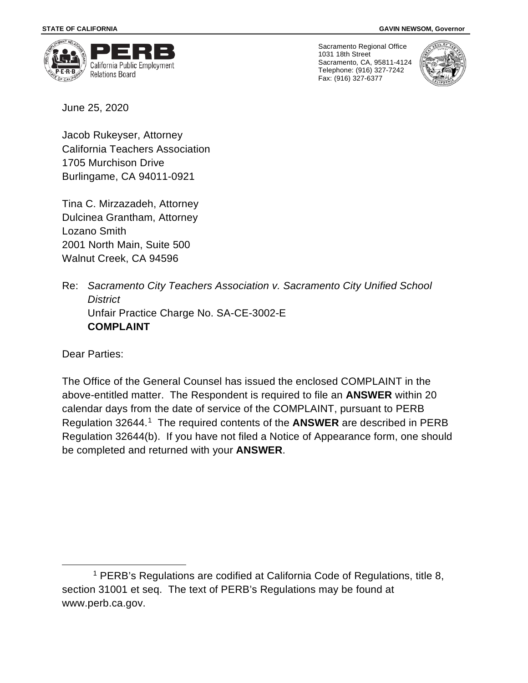

Sacramento Regional Office 1031 18th Street Sacramento, CA, 95811-4124 Telephone: (916) 327-7242 Fax: (916) 327-6377



June 25, 2020

Jacob Rukeyser, Attorney California Teachers Association 1705 Murchison Drive Burlingame, CA 94011-0921

Tina C. Mirzazadeh, Attorney Dulcinea Grantham, Attorney Lozano Smith 2001 North Main, Suite 500 Walnut Creek, CA 94596

Re: *Sacramento City Teachers Association v. Sacramento City Unified School District* Unfair Practice Charge No. SA-CE-3002-E **COMPLAINT**

Dear Parties:

The Office of the General Counsel has issued the enclosed COMPLAINT in the above-entitled matter. The Respondent is required to file an **ANSWER** within 20 calendar days from the date of service of the COMPLAINT, pursuant to PERB Regulation 32644.[1](#page-0-0) The required contents of the **ANSWER** are described in PERB Regulation 32644(b). If you have not filed a Notice of Appearance form, one should be completed and returned with your **ANSWER**.

<span id="page-0-0"></span><sup>1</sup> PERB's Regulations are codified at California Code of Regulations, title 8, section 31001 et seq. The text of PERB's Regulations may be found at www.perb.ca.gov.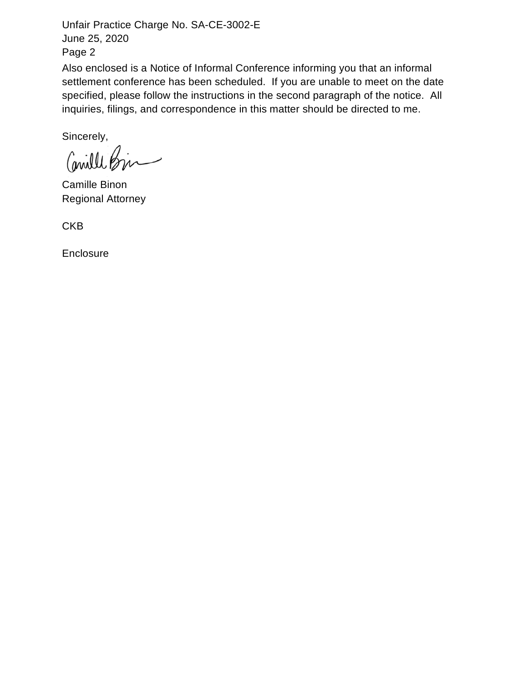Unfair Practice Charge No. SA-CE-3002-E June 25, 2020 Page 2

Also enclosed is a Notice of Informal Conference informing you that an informal settlement conference has been scheduled. If you are unable to meet on the date specified, please follow the instructions in the second paragraph of the notice. All inquiries, filings, and correspondence in this matter should be directed to me.

Sincerely,

Comille Bir

Camille Binon Regional Attorney

**CKB** 

**Enclosure**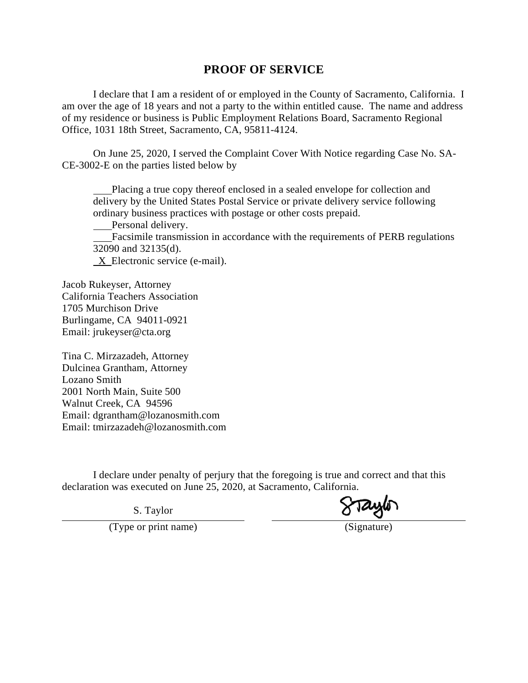## **PROOF OF SERVICE**

I declare that I am a resident of or employed in the County of Sacramento, California. I am over the age of 18 years and not a party to the within entitled cause. The name and address of my residence or business is Public Employment Relations Board, Sacramento Regional Office, 1031 18th Street, Sacramento, CA, 95811-4124.

On June 25, 2020, I served the Complaint Cover With Notice regarding Case No. SA-CE-3002-E on the parties listed below by

 Placing a true copy thereof enclosed in a sealed envelope for collection and delivery by the United States Postal Service or private delivery service following ordinary business practices with postage or other costs prepaid.

Personal delivery.

 Facsimile transmission in accordance with the requirements of PERB regulations 32090 and 32135(d).

X Electronic service (e-mail).

Jacob Rukeyser, Attorney California Teachers Association 1705 Murchison Drive Burlingame, CA 94011-0921 Email: jrukeyser@cta.org

Tina C. Mirzazadeh, Attorney Dulcinea Grantham, Attorney Lozano Smith 2001 North Main, Suite 500 Walnut Creek, CA 94596 Email: dgrantham@lozanosmith.com Email: tmirzazadeh@lozanosmith.com

I declare under penalty of perjury that the foregoing is true and correct and that this declaration was executed on June 25, 2020, at Sacramento, California.

S. Taylor

(Type or print name) (Signature)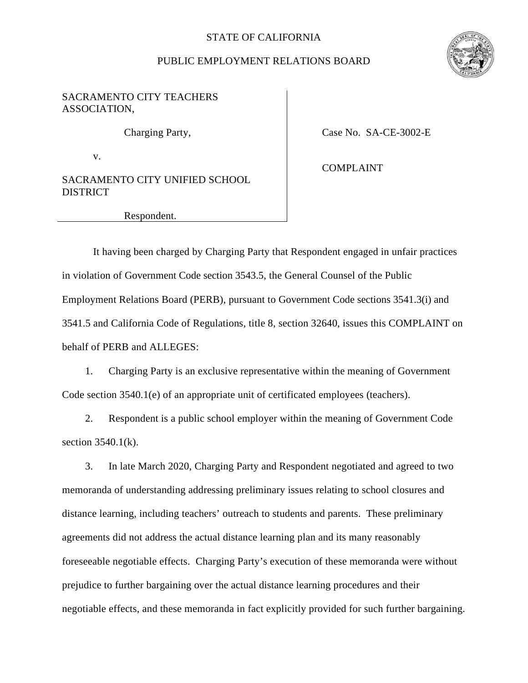## STATE OF CALIFORNIA

## PUBLIC EMPLOYMENT RELATIONS BOARD



## SACRAMENTO CITY TEACHERS ASSOCIATION,

v.

SACRAMENTO CITY UNIFIED SCHOOL **DISTRICT** 

Charging Party, Case No. SA-CE-3002-E

COMPLAINT

Respondent.

It having been charged by Charging Party that Respondent engaged in unfair practices in violation of Government Code section 3543.5, the General Counsel of the Public Employment Relations Board (PERB), pursuant to Government Code sections 3541.3(i) and 3541.5 and California Code of Regulations, title 8, section 32640, issues this COMPLAINT on behalf of PERB and ALLEGES:

1. Charging Party is an exclusive representative within the meaning of Government Code section 3540.1(e) of an appropriate unit of certificated employees (teachers).

2. Respondent is a public school employer within the meaning of Government Code section  $3540.1(k)$ .

3. In late March 2020, Charging Party and Respondent negotiated and agreed to two memoranda of understanding addressing preliminary issues relating to school closures and distance learning, including teachers' outreach to students and parents. These preliminary agreements did not address the actual distance learning plan and its many reasonably foreseeable negotiable effects. Charging Party's execution of these memoranda were without prejudice to further bargaining over the actual distance learning procedures and their negotiable effects, and these memoranda in fact explicitly provided for such further bargaining.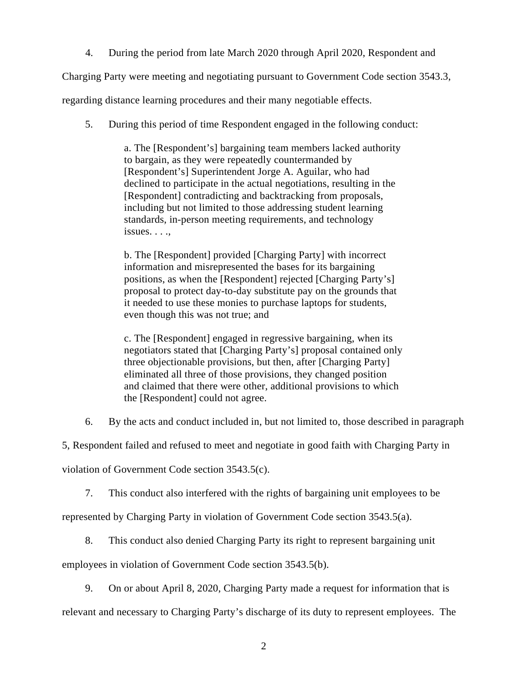4. During the period from late March 2020 through April 2020, Respondent and

Charging Party were meeting and negotiating pursuant to Government Code section 3543.3,

regarding distance learning procedures and their many negotiable effects.

5. During this period of time Respondent engaged in the following conduct:

a. The [Respondent's] bargaining team members lacked authority to bargain, as they were repeatedly countermanded by [Respondent's] Superintendent Jorge A. Aguilar, who had declined to participate in the actual negotiations, resulting in the [Respondent] contradicting and backtracking from proposals, including but not limited to those addressing student learning standards, in-person meeting requirements, and technology issues. . . .,

b. The [Respondent] provided [Charging Party] with incorrect information and misrepresented the bases for its bargaining positions, as when the [Respondent] rejected [Charging Party's] proposal to protect day-to-day substitute pay on the grounds that it needed to use these monies to purchase laptops for students, even though this was not true; and

c. The [Respondent] engaged in regressive bargaining, when its negotiators stated that [Charging Party's] proposal contained only three objectionable provisions, but then, after [Charging Party] eliminated all three of those provisions, they changed position and claimed that there were other, additional provisions to which the [Respondent] could not agree.

6. By the acts and conduct included in, but not limited to, those described in paragraph

5, Respondent failed and refused to meet and negotiate in good faith with Charging Party in

violation of Government Code section 3543.5(c).

7. This conduct also interfered with the rights of bargaining unit employees to be

represented by Charging Party in violation of Government Code section 3543.5(a).

8. This conduct also denied Charging Party its right to represent bargaining unit

employees in violation of Government Code section 3543.5(b).

9. On or about April 8, 2020, Charging Party made a request for information that is

relevant and necessary to Charging Party's discharge of its duty to represent employees. The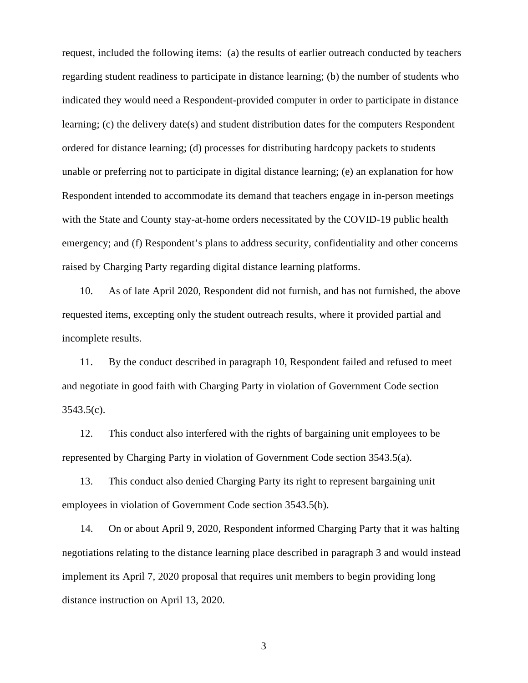request, included the following items: (a) the results of earlier outreach conducted by teachers regarding student readiness to participate in distance learning; (b) the number of students who indicated they would need a Respondent-provided computer in order to participate in distance learning; (c) the delivery date(s) and student distribution dates for the computers Respondent ordered for distance learning; (d) processes for distributing hardcopy packets to students unable or preferring not to participate in digital distance learning; (e) an explanation for how Respondent intended to accommodate its demand that teachers engage in in-person meetings with the State and County stay-at-home orders necessitated by the COVID-19 public health emergency; and (f) Respondent's plans to address security, confidentiality and other concerns raised by Charging Party regarding digital distance learning platforms.

10. As of late April 2020, Respondent did not furnish, and has not furnished, the above requested items, excepting only the student outreach results, where it provided partial and incomplete results.

11. By the conduct described in paragraph 10, Respondent failed and refused to meet and negotiate in good faith with Charging Party in violation of Government Code section  $3543.5(c)$ .

12. This conduct also interfered with the rights of bargaining unit employees to be represented by Charging Party in violation of Government Code section 3543.5(a).

13. This conduct also denied Charging Party its right to represent bargaining unit employees in violation of Government Code section 3543.5(b).

14. On or about April 9, 2020, Respondent informed Charging Party that it was halting negotiations relating to the distance learning place described in paragraph 3 and would instead implement its April 7, 2020 proposal that requires unit members to begin providing long distance instruction on April 13, 2020.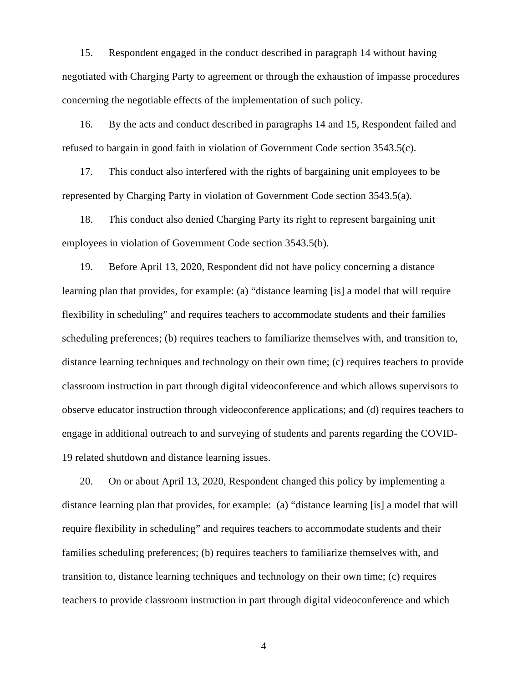15. Respondent engaged in the conduct described in paragraph 14 without having negotiated with Charging Party to agreement or through the exhaustion of impasse procedures concerning the negotiable effects of the implementation of such policy.

16. By the acts and conduct described in paragraphs 14 and 15, Respondent failed and refused to bargain in good faith in violation of Government Code section 3543.5(c).

17. This conduct also interfered with the rights of bargaining unit employees to be represented by Charging Party in violation of Government Code section 3543.5(a).

18. This conduct also denied Charging Party its right to represent bargaining unit employees in violation of Government Code section 3543.5(b).

19. Before April 13, 2020, Respondent did not have policy concerning a distance learning plan that provides, for example: (a) "distance learning [is] a model that will require flexibility in scheduling" and requires teachers to accommodate students and their families scheduling preferences; (b) requires teachers to familiarize themselves with, and transition to, distance learning techniques and technology on their own time; (c) requires teachers to provide classroom instruction in part through digital videoconference and which allows supervisors to observe educator instruction through videoconference applications; and (d) requires teachers to engage in additional outreach to and surveying of students and parents regarding the COVID-19 related shutdown and distance learning issues.

20. On or about April 13, 2020, Respondent changed this policy by implementing a distance learning plan that provides, for example: (a) "distance learning [is] a model that will require flexibility in scheduling" and requires teachers to accommodate students and their families scheduling preferences; (b) requires teachers to familiarize themselves with, and transition to, distance learning techniques and technology on their own time; (c) requires teachers to provide classroom instruction in part through digital videoconference and which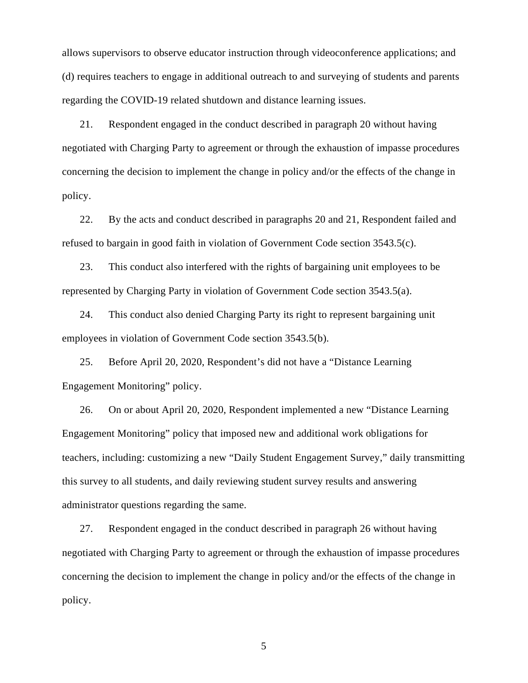allows supervisors to observe educator instruction through videoconference applications; and (d) requires teachers to engage in additional outreach to and surveying of students and parents regarding the COVID-19 related shutdown and distance learning issues.

21. Respondent engaged in the conduct described in paragraph 20 without having negotiated with Charging Party to agreement or through the exhaustion of impasse procedures concerning the decision to implement the change in policy and/or the effects of the change in policy.

22. By the acts and conduct described in paragraphs 20 and 21, Respondent failed and refused to bargain in good faith in violation of Government Code section 3543.5(c).

23. This conduct also interfered with the rights of bargaining unit employees to be represented by Charging Party in violation of Government Code section 3543.5(a).

24. This conduct also denied Charging Party its right to represent bargaining unit employees in violation of Government Code section 3543.5(b).

25. Before April 20, 2020, Respondent's did not have a "Distance Learning Engagement Monitoring" policy.

26. On or about April 20, 2020, Respondent implemented a new "Distance Learning Engagement Monitoring" policy that imposed new and additional work obligations for teachers, including: customizing a new "Daily Student Engagement Survey," daily transmitting this survey to all students, and daily reviewing student survey results and answering administrator questions regarding the same.

27. Respondent engaged in the conduct described in paragraph 26 without having negotiated with Charging Party to agreement or through the exhaustion of impasse procedures concerning the decision to implement the change in policy and/or the effects of the change in policy.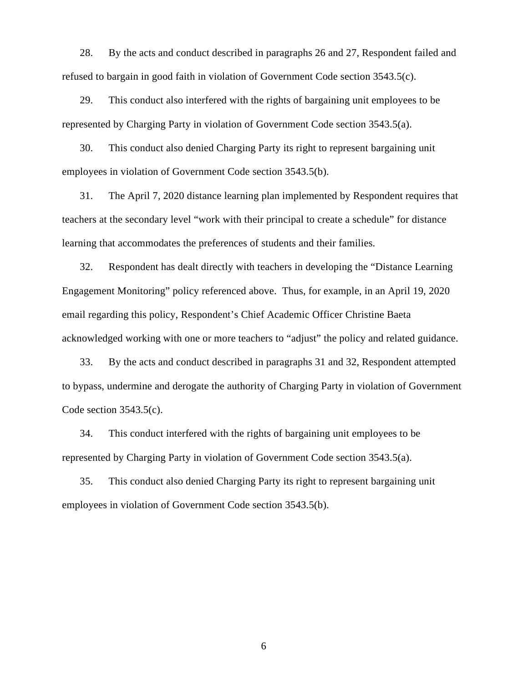28. By the acts and conduct described in paragraphs 26 and 27, Respondent failed and refused to bargain in good faith in violation of Government Code section 3543.5(c).

29. This conduct also interfered with the rights of bargaining unit employees to be represented by Charging Party in violation of Government Code section 3543.5(a).

30. This conduct also denied Charging Party its right to represent bargaining unit employees in violation of Government Code section 3543.5(b).

31. The April 7, 2020 distance learning plan implemented by Respondent requires that teachers at the secondary level "work with their principal to create a schedule" for distance learning that accommodates the preferences of students and their families.

32. Respondent has dealt directly with teachers in developing the "Distance Learning Engagement Monitoring" policy referenced above. Thus, for example, in an April 19, 2020 email regarding this policy, Respondent's Chief Academic Officer Christine Baeta acknowledged working with one or more teachers to "adjust" the policy and related guidance.

33. By the acts and conduct described in paragraphs 31 and 32, Respondent attempted to bypass, undermine and derogate the authority of Charging Party in violation of Government Code section 3543.5(c).

34. This conduct interfered with the rights of bargaining unit employees to be represented by Charging Party in violation of Government Code section 3543.5(a).

35. This conduct also denied Charging Party its right to represent bargaining unit employees in violation of Government Code section 3543.5(b).